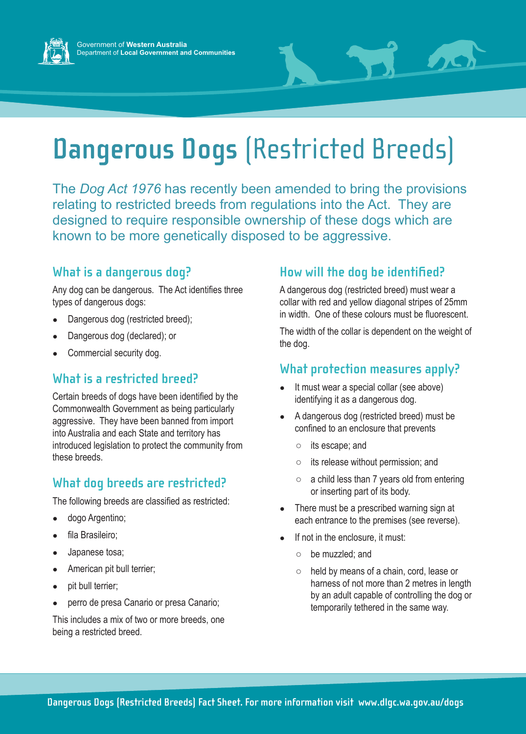



# **Dangerous Dogs** (Restricted Breeds)

The *Dog Act 1976* has recently been amended to bring the provisions relating to restricted breeds from regulations into the Act. They are designed to require responsible ownership of these dogs which are known to be more genetically disposed to be aggressive.

#### **What is a dangerous dog?**

Any dog can be dangerous. The Act identifies three types of dangerous dogs:

- Dangerous dog (restricted breed);
- Dangerous dog (declared); or
- Commercial security dog.

#### **What is a restricted breed?**

Certain breeds of dogs have been identified by the Commonwealth Government as being particularly aggressive. They have been banned from import into Australia and each State and territory has introduced legislation to protect the community from these breeds.

# **What dog breeds are restricted?**

The following breeds are classified as restricted:

- dogo Argentino;
- fila Brasileiro;
- Japanese tosa;
- American pit bull terrier;
- pit bull terrier;
- perro de presa Canario or presa Canario;

This includes a mix of two or more breeds, one being a restricted breed.

### **How will the dog be identified?**

A dangerous dog (restricted breed) must wear a collar with red and yellow diagonal stripes of 25mm in width. One of these colours must be fluorescent.

The width of the collar is dependent on the weight of the dog.

#### **What protection measures apply?**

- It must wear a special collar (see above) identifying it as a dangerous dog.
- A dangerous dog (restricted breed) must be confined to an enclosure that prevents
	- its escape; and
	- its release without permission; and
	- a child less than 7 years old from entering or inserting part of its body.
- There must be a prescribed warning sign at each entrance to the premises (see reverse).
- If not in the enclosure, it must:
	- be muzzled; and
	- held by means of a chain, cord, lease or harness of not more than 2 metres in length by an adult capable of controlling the dog or temporarily tethered in the same way.